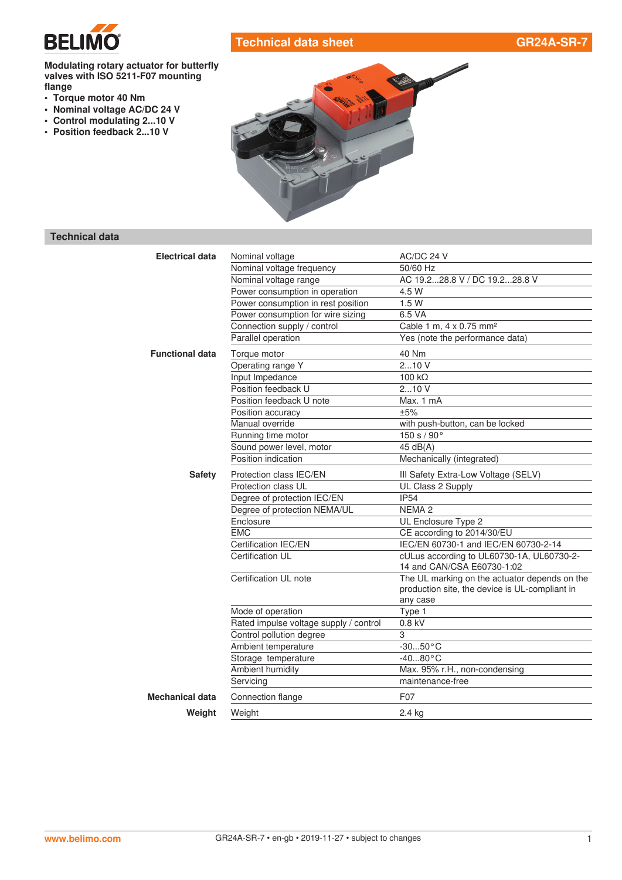

## **Technical data sheet GR24A-SR-7**

**Modulating rotary actuator for butterfly valves with ISO 5211-F07 mounting flange**

- **• Torque motor 40 Nm**
- **• Nominal voltage AC/DC 24 V**
- **• Control modulating 2...10 V**
- **• Position feedback 2...10 V**



# **Technical data**

| <b>Electrical data</b> | Nominal voltage                        | AC/DC 24 V                                                                                                  |  |  |
|------------------------|----------------------------------------|-------------------------------------------------------------------------------------------------------------|--|--|
|                        | Nominal voltage frequency              | 50/60 Hz                                                                                                    |  |  |
|                        | Nominal voltage range                  | AC 19.228.8 V / DC 19.228.8 V                                                                               |  |  |
|                        | Power consumption in operation         | 4.5 W                                                                                                       |  |  |
|                        | Power consumption in rest position     | 1.5W                                                                                                        |  |  |
|                        | Power consumption for wire sizing      | 6.5 VA                                                                                                      |  |  |
|                        | Connection supply / control            | Cable 1 m, 4 x 0.75 mm <sup>2</sup>                                                                         |  |  |
|                        | Parallel operation                     | Yes (note the performance data)                                                                             |  |  |
| <b>Functional data</b> | Torque motor                           | 40 Nm                                                                                                       |  |  |
|                        | Operating range Y                      | 210V                                                                                                        |  |  |
|                        | Input Impedance                        | $100 k\Omega$                                                                                               |  |  |
|                        | Position feedback U                    | 210V                                                                                                        |  |  |
|                        | Position feedback U note               | Max. 1 mA                                                                                                   |  |  |
|                        | Position accuracy                      | ±5%                                                                                                         |  |  |
|                        | Manual override                        | with push-button, can be locked                                                                             |  |  |
|                        | Running time motor                     | 150 s / 90°                                                                                                 |  |  |
|                        | Sound power level, motor               | 45 dB(A)                                                                                                    |  |  |
|                        | Position indication                    | Mechanically (integrated)                                                                                   |  |  |
| <b>Safety</b>          | Protection class IEC/EN                | III Safety Extra-Low Voltage (SELV)                                                                         |  |  |
|                        | Protection class UL                    | UL Class 2 Supply                                                                                           |  |  |
|                        | Degree of protection IEC/EN            | <b>IP54</b>                                                                                                 |  |  |
|                        | Degree of protection NEMA/UL           | NEMA <sub>2</sub>                                                                                           |  |  |
|                        | Enclosure                              | UL Enclosure Type 2                                                                                         |  |  |
|                        | <b>EMC</b>                             | CE according to 2014/30/EU                                                                                  |  |  |
|                        | Certification IEC/EN                   | IEC/EN 60730-1 and IEC/EN 60730-2-14                                                                        |  |  |
|                        | Certification UL                       | cULus according to UL60730-1A, UL60730-2-<br>14 and CAN/CSA E60730-1:02                                     |  |  |
|                        | Certification UL note                  | The UL marking on the actuator depends on the<br>production site, the device is UL-compliant in<br>any case |  |  |
|                        | Mode of operation                      | Type 1                                                                                                      |  |  |
|                        | Rated impulse voltage supply / control | $0.8$ kV                                                                                                    |  |  |
|                        | Control pollution degree               | 3                                                                                                           |  |  |
|                        | Ambient temperature                    | $-3050$ °C                                                                                                  |  |  |
|                        | Storage temperature                    | $-4080$ °C                                                                                                  |  |  |
|                        | Ambient humidity                       | Max. 95% r.H., non-condensing                                                                               |  |  |
|                        | Servicing                              | maintenance-free                                                                                            |  |  |
| Mechanical data        | Connection flange                      | F <sub>0</sub> 7                                                                                            |  |  |
| Weight                 | Weight                                 | 2.4 kg                                                                                                      |  |  |
|                        |                                        |                                                                                                             |  |  |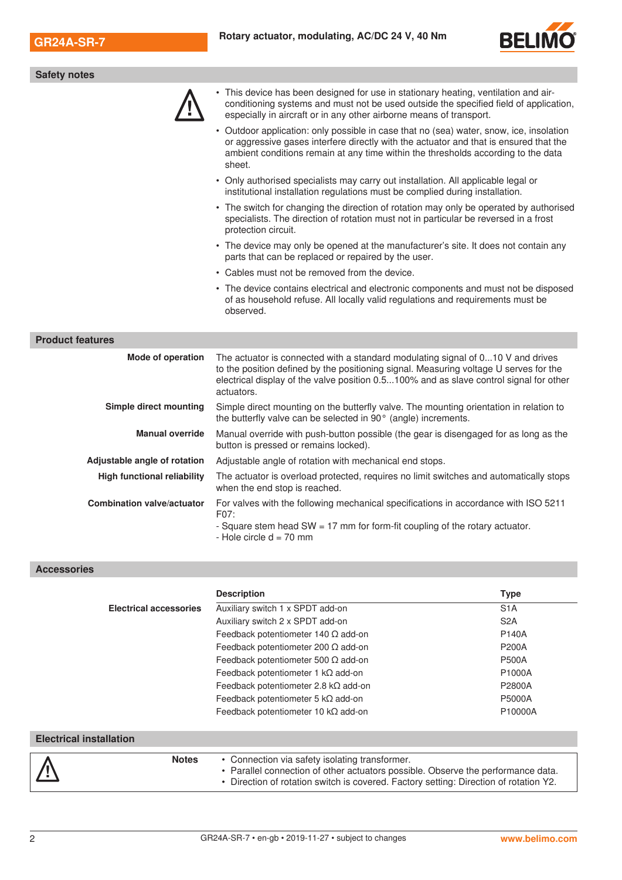

| <b>Safety notes</b>                                                                                                                                                                                                                                                              |  |  |  |  |  |
|----------------------------------------------------------------------------------------------------------------------------------------------------------------------------------------------------------------------------------------------------------------------------------|--|--|--|--|--|
| This device has been designed for use in stationary heating, ventilation and air-<br>conditioning systems and must not be used outside the specified field of application,<br>especially in aircraft or in any other airborne means of transport.                                |  |  |  |  |  |
| • Outdoor application: only possible in case that no (sea) water, snow, ice, insolation<br>or aggressive gases interfere directly with the actuator and that is ensured that the<br>ambient conditions remain at any time within the thresholds according to the data<br>sheet.  |  |  |  |  |  |
| • Only authorised specialists may carry out installation. All applicable legal or<br>institutional installation regulations must be complied during installation.                                                                                                                |  |  |  |  |  |
| • The switch for changing the direction of rotation may only be operated by authorised<br>specialists. The direction of rotation must not in particular be reversed in a frost<br>protection circuit.                                                                            |  |  |  |  |  |
| • The device may only be opened at the manufacturer's site. It does not contain any<br>parts that can be replaced or repaired by the user.                                                                                                                                       |  |  |  |  |  |
| • Cables must not be removed from the device.                                                                                                                                                                                                                                    |  |  |  |  |  |
| • The device contains electrical and electronic components and must not be disposed<br>of as household refuse. All locally valid regulations and requirements must be<br>observed.                                                                                               |  |  |  |  |  |
|                                                                                                                                                                                                                                                                                  |  |  |  |  |  |
| The actuator is connected with a standard modulating signal of 010 V and drives<br>to the position defined by the positioning signal. Measuring voltage U serves for the<br>electrical display of the valve position 0.5100% and as slave control signal for other<br>actuators. |  |  |  |  |  |
| Simple direct mounting on the butterfly valve. The mounting orientation in relation to<br>the butterfly valve can be selected in 90° (angle) increments.                                                                                                                         |  |  |  |  |  |
| Manual override with push-button possible (the gear is disengaged for as long as the<br>button is pressed or remains locked).                                                                                                                                                    |  |  |  |  |  |
| Adjustable angle of rotation with mechanical end stops.                                                                                                                                                                                                                          |  |  |  |  |  |
| The actuator is overload protected, requires no limit switches and automatically stops<br>when the end stop is reached.                                                                                                                                                          |  |  |  |  |  |
| For valves with the following mechanical specifications in accordance with ISO 5211                                                                                                                                                                                              |  |  |  |  |  |
|                                                                                                                                                                                                                                                                                  |  |  |  |  |  |

|                                | <b>Description</b>                                                                                                                                                                                                          | <b>Type</b>                  |  |  |  |  |  |
|--------------------------------|-----------------------------------------------------------------------------------------------------------------------------------------------------------------------------------------------------------------------------|------------------------------|--|--|--|--|--|
| <b>Electrical accessories</b>  | Auxiliary switch 1 x SPDT add-on                                                                                                                                                                                            | S <sub>1</sub> A             |  |  |  |  |  |
|                                | Auxiliary switch 2 x SPDT add-on                                                                                                                                                                                            | S <sub>2</sub> A             |  |  |  |  |  |
|                                | Feedback potentiometer 140 $\Omega$ add-on                                                                                                                                                                                  | <b>P140A</b>                 |  |  |  |  |  |
|                                | Feedback potentiometer 200 $\Omega$ add-on                                                                                                                                                                                  | <b>P200A</b><br><b>P500A</b> |  |  |  |  |  |
|                                | Feedback potentiometer 500 $\Omega$ add-on                                                                                                                                                                                  |                              |  |  |  |  |  |
|                                | Feedback potentiometer 1 $k\Omega$ add-on                                                                                                                                                                                   | P1000A                       |  |  |  |  |  |
|                                | Feedback potentiometer 2.8 $k\Omega$ add-on                                                                                                                                                                                 | P2800A                       |  |  |  |  |  |
|                                | Feedback potentiometer 5 $k\Omega$ add-on                                                                                                                                                                                   | P5000A                       |  |  |  |  |  |
|                                | Feedback potentiometer 10 $k\Omega$ add-on                                                                                                                                                                                  | P10000A                      |  |  |  |  |  |
|                                |                                                                                                                                                                                                                             |                              |  |  |  |  |  |
| <b>Electrical installation</b> |                                                                                                                                                                                                                             |                              |  |  |  |  |  |
| <b>Notes</b>                   | • Connection via safety isolating transformer.<br>• Parallel connection of other actuators possible. Observe the performance data.<br>• Direction of rotation switch is covered. Factory setting: Direction of rotation Y2. |                              |  |  |  |  |  |